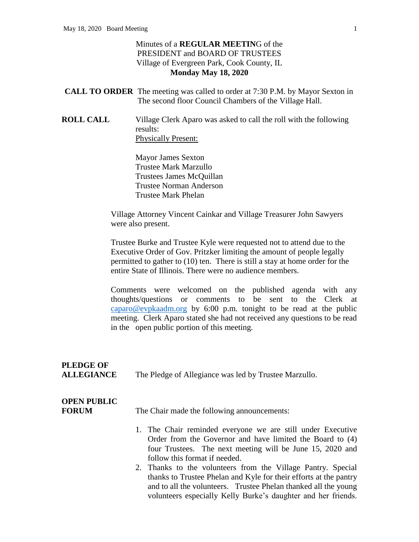#### Minutes of a **REGULAR MEETIN**G of the PRESIDENT and BOARD OF TRUSTEES Village of Evergreen Park, Cook County, IL **Monday May 18, 2020**

| <b>CALL TO ORDER</b> The meeting was called to order at 7:30 P.M. by Mayor Sexton in |
|--------------------------------------------------------------------------------------|
| The second floor Council Chambers of the Village Hall.                               |

**ROLL CALL** Village Clerk Aparo was asked to call the roll with the following results: Physically Present:

> Mayor James Sexton Trustee Mark Marzullo Trustees James McQuillan Trustee Norman Anderson Trustee Mark Phelan

Village Attorney Vincent Cainkar and Village Treasurer John Sawyers were also present.

Trustee Burke and Trustee Kyle were requested not to attend due to the Executive Order of Gov. Pritzker limiting the amount of people legally permitted to gather to (10) ten. There is still a stay at home order for the entire State of Illinois. There were no audience members.

Comments were welcomed on the published agenda with any thoughts/questions or comments to be sent to the Clerk at [caparo@evpkaadm.org](mailto:caparo@evpkaadm.org) by 6:00 p.m. tonight to be read at the public meeting. Clerk Aparo stated she had not received any questions to be read in the open public portion of this meeting.

### **PLEDGE OF ALLEGIANCE** The Pledge of Allegiance was led by Trustee Marzullo.

## **OPEN PUBLIC**

**FORUM** The Chair made the following announcements:

- 1. The Chair reminded everyone we are still under Executive Order from the Governor and have limited the Board to (4) four Trustees. The next meeting will be June 15, 2020 and follow this format if needed.
- 2. Thanks to the volunteers from the Village Pantry. Special thanks to Trustee Phelan and Kyle for their efforts at the pantry and to all the volunteers. Trustee Phelan thanked all the young volunteers especially Kelly Burke's daughter and her friends.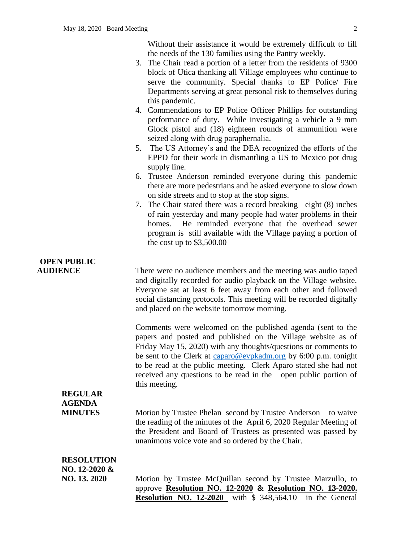Without their assistance it would be extremely difficult to fill the needs of the 130 families using the Pantry weekly.

- 3. The Chair read a portion of a letter from the residents of 9300 block of Utica thanking all Village employees who continue to serve the community. Special thanks to EP Police/ Fire Departments serving at great personal risk to themselves during this pandemic.
- 4. Commendations to EP Police Officer Phillips for outstanding performance of duty. While investigating a vehicle a 9 mm Glock pistol and (18) eighteen rounds of ammunition were seized along with drug paraphernalia.
- 5. The US Attorney's and the DEA recognized the efforts of the EPPD for their work in dismantling a US to Mexico pot drug supply line.
- 6. Trustee Anderson reminded everyone during this pandemic there are more pedestrians and he asked everyone to slow down on side streets and to stop at the stop signs.
- 7. The Chair stated there was a record breaking eight (8) inches of rain yesterday and many people had water problems in their homes. He reminded everyone that the overhead sewer program is still available with the Village paying a portion of the cost up to \$3,500.00

# **OPEN PUBLIC**

**AUDIENCE** There were no audience members and the meeting was audio taped and digitally recorded for audio playback on the Village website. Everyone sat at least 6 feet away from each other and followed social distancing protocols. This meeting will be recorded digitally and placed on the website tomorrow morning.

> Comments were welcomed on the published agenda (sent to the papers and posted and published on the Village website as of Friday May 15, 2020) with any thoughts/questions or comments to be sent to the Clerk at [caparo@evpkadm.org](mailto:caparo@evpkaadm.org) by 6:00 p.m. tonight to be read at the public meeting. Clerk Aparo stated she had not received any questions to be read in the open public portion of this meeting.

# **REGULAR AGENDA**

**MINUTES** Motion by Trustee Phelan second by Trustee Anderson to waive the reading of the minutes of the April 6, 2020 Regular Meeting of the President and Board of Trustees as presented was passed by unanimous voice vote and so ordered by the Chair.

| <b>RESOLUTION</b>  |
|--------------------|
| $NO. 12 - 2020 \&$ |
| NO. 13. 2020       |

Motion by Trustee McQuillan second by Trustee Marzullo, to approve **Resolution NO. 12-2020 & Resolution NO. 13-2020. Resolution NO. 12-2020** with \$ 348,564.10 in the General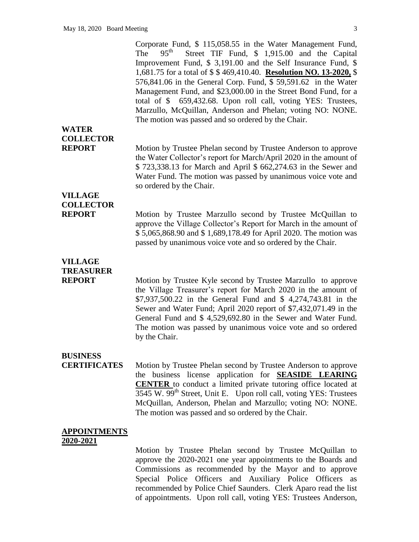Corporate Fund, \$ 115,058.55 in the Water Management Fund, The  $95^{\text{th}}$  Street TIF Fund, \$ 1,915.00 and the Capital Improvement Fund, \$ 3,191.00 and the Self Insurance Fund, \$ 1,681.75 for a total of \$ \$ 469,410.40. **Resolution NO. 13-2020,** \$ 576,841.06 in the General Corp. Fund, \$ 59,591.62 in the Water Management Fund, and \$23,000.00 in the Street Bond Fund, for a total of \$ 659,432.68. Upon roll call, voting YES: Trustees, Marzullo, McQuillan, Anderson and Phelan; voting NO: NONE. The motion was passed and so ordered by the Chair. **COLLECTOR REPORT** Motion by Trustee Phelan second by Trustee Anderson to approve

the Water Collector's report for March/April 2020 in the amount of \$ 723,338.13 for March and April \$ 662,274.63 in the Sewer and Water Fund. The motion was passed by unanimous voice vote and so ordered by the Chair.

# **VILLAGE COLLECTOR**

**WATER** 

**REPORT** Motion by Trustee Marzullo second by Trustee McQuillan to approve the Village Collector's Report for March in the amount of \$ 5,065,868.90 and \$ 1,689,178.49 for April 2020. The motion was passed by unanimous voice vote and so ordered by the Chair.

### **VILLAGE TREASURER**

**REPORT** Motion by Trustee Kyle second by Trustee Marzullo to approve the Village Treasurer's report for March 2020 in the amount of \$7,937,500.22 in the General Fund and \$ 4,274,743.81 in the Sewer and Water Fund; April 2020 report of \$7,432,071.49 in the General Fund and \$ 4,529,692.80 in the Sewer and Water Fund. The motion was passed by unanimous voice vote and so ordered by the Chair.

#### **BUSINESS**

**CERTIFICATES** Motion by Trustee Phelan second by Trustee Anderson to approve the business license application for **SEASIDE LEARING CENTER** to conduct a limited private tutoring office located at  $3545$  W.  $99<sup>th</sup>$  Street, Unit E. Upon roll call, voting YES: Trustees McQuillan, Anderson, Phelan and Marzullo; voting NO: NONE. The motion was passed and so ordered by the Chair.

#### **APPOINTMENTS 2020-2021**

Motion by Trustee Phelan second by Trustee McQuillan to approve the 2020-2021 one year appointments to the Boards and Commissions as recommended by the Mayor and to approve Special Police Officers and Auxiliary Police Officers as recommended by Police Chief Saunders. Clerk Aparo read the list of appointments. Upon roll call, voting YES: Trustees Anderson,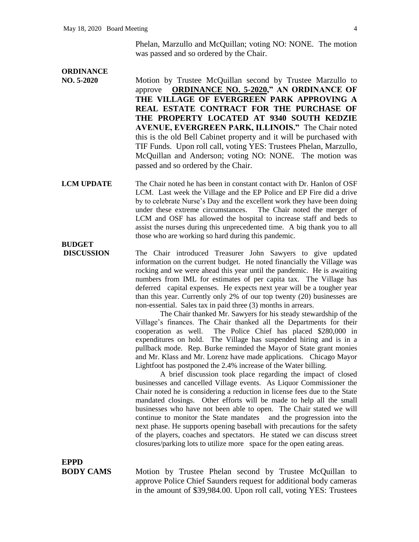Phelan, Marzullo and McQuillan; voting NO: NONE. The motion was passed and so ordered by the Chair.

#### **ORDINANCE**

**BUDGET**

**NO. 5-2020** Motion by Trustee McQuillan second by Trustee Marzullo to approve **ORDINANCE NO. 5-2020," AN ORDINANCE OF THE VILLAGE OF EVERGREEN PARK APPROVING A REAL ESTATE CONTRACT FOR THE PURCHASE OF THE PROPERTY LOCATED AT 9340 SOUTH KEDZIE AVENUE, EVERGREEN PARK, ILLINOIS."** The Chair noted this is the old Bell Cabinet property and it will be purchased with TIF Funds. Upon roll call, voting YES: Trustees Phelan, Marzullo, McQuillan and Anderson; voting NO: NONE. The motion was passed and so ordered by the Chair.

#### **LCM UPDATE** The Chair noted he has been in constant contact with Dr. Hanlon of OSF LCM. Last week the Village and the EP Police and EP Fire did a drive by to celebrate Nurse's Day and the excellent work they have been doing under these extreme circumstances. The Chair noted the merger of LCM and OSF has allowed the hospital to increase staff and beds to assist the nurses during this unprecedented time. A big thank you to all those who are working so hard during this pandemic.

**DISCUSSION** The Chair introduced Treasurer John Sawyers to give updated information on the current budget. He noted financially the Village was rocking and we were ahead this year until the pandemic. He is awaiting numbers from IML for estimates of per capita tax. The Village has deferred capital expenses. He expects next year will be a tougher year than this year. Currently only 2% of our top twenty (20) businesses are non-essential. Sales tax in paid three (3) months in arrears.

> The Chair thanked Mr. Sawyers for his steady stewardship of the Village's finances. The Chair thanked all the Departments for their cooperation as well. The Police Chief has placed \$280,000 in expenditures on hold. The Village has suspended hiring and is in a pullback mode. Rep. Burke reminded the Mayor of State grant monies and Mr. Klass and Mr. Lorenz have made applications. Chicago Mayor Lightfoot has postponed the 2.4% increase of the Water billing.

> A brief discussion took place regarding the impact of closed businesses and cancelled Village events. As Liquor Commissioner the Chair noted he is considering a reduction in license fees due to the State mandated closings. Other efforts will be made to help all the small businesses who have not been able to open. The Chair stated we will continue to monitor the State mandates and the progression into the next phase. He supports opening baseball with precautions for the safety of the players, coaches and spectators. He stated we can discuss street closures/parking lots to utilize more space for the open eating areas.

**EPPD**

**BODY CAMS** Motion by Trustee Phelan second by Trustee McQuillan to approve Police Chief Saunders request for additional body cameras in the amount of \$39,984.00. Upon roll call, voting YES: Trustees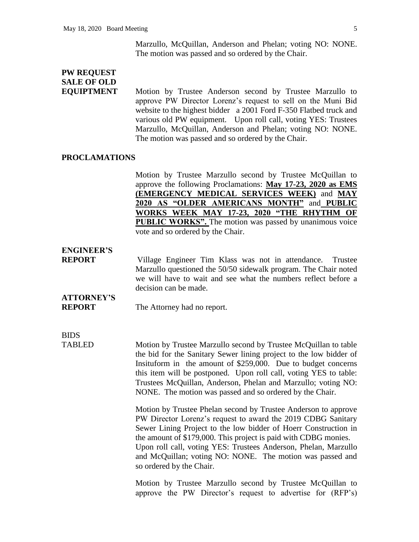Marzullo, McQuillan, Anderson and Phelan; voting NO: NONE. The motion was passed and so ordered by the Chair.

## **PW REQUEST SALE OF OLD**

**EQUIPTMENT** Motion by Trustee Anderson second by Trustee Marzullo to approve PW Director Lorenz's request to sell on the Muni Bid website to the highest bidder a 2001 Ford F-350 Flatbed truck and various old PW equipment. Upon roll call, voting YES: Trustees Marzullo, McQuillan, Anderson and Phelan; voting NO: NONE. The motion was passed and so ordered by the Chair.

#### **PROCLAMATIONS**

Motion by Trustee Marzullo second by Trustee McQuillan to approve the following Proclamations: **May 17-23, 2020 as EMS (EMERGENCY MEDICAL SERVICES WEEK)** and **MAY 2020 AS "OLDER AMERICANS MONTH"** and **PUBLIC WORKS WEEK MAY 17-23, 2020 "THE RHYTHM OF PUBLIC WORKS".** The motion was passed by unanimous voice vote and so ordered by the Chair.

### **ENGINEER'S**

**REPORT** Village Engineer Tim Klass was not in attendance. Trustee Marzullo questioned the 50/50 sidewalk program. The Chair noted we will have to wait and see what the numbers reflect before a decision can be made.

# **ATTORNEY'S**

**REPORT** The Attorney had no report.

BIDS

TABLED Motion by Trustee Marzullo second by Trustee McQuillan to table the bid for the Sanitary Sewer lining project to the low bidder of Insituform in the amount of \$259,000. Due to budget concerns this item will be postponed. Upon roll call, voting YES to table: Trustees McQuillan, Anderson, Phelan and Marzullo; voting NO: NONE. The motion was passed and so ordered by the Chair.

> Motion by Trustee Phelan second by Trustee Anderson to approve PW Director Lorenz's request to award the 2019 CDBG Sanitary Sewer Lining Project to the low bidder of Hoerr Construction in the amount of \$179,000. This project is paid with CDBG monies. Upon roll call, voting YES: Trustees Anderson, Phelan, Marzullo and McQuillan; voting NO: NONE. The motion was passed and so ordered by the Chair.

> Motion by Trustee Marzullo second by Trustee McQuillan to approve the PW Director's request to advertise for (RFP's)